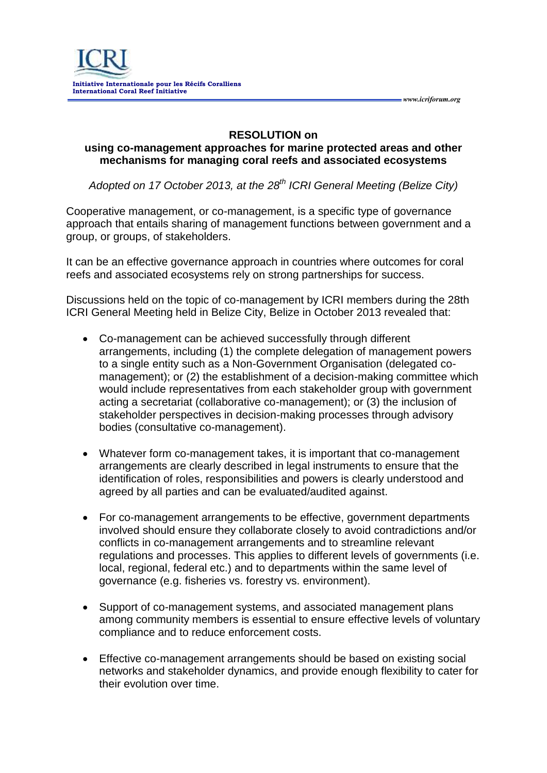#### **RESOLUTION on**

 *www.icriforum.org* 

### **using co-management approaches for marine protected areas and other mechanisms for managing coral reefs and associated ecosystems**

*Adopted on 17 October 2013, at the 28th ICRI General Meeting (Belize City)*

Cooperative management, or co-management, is a specific type of governance approach that entails sharing of management functions between government and a group, or groups, of stakeholders.

It can be an effective governance approach in countries where outcomes for coral reefs and associated ecosystems rely on strong partnerships for success.

Discussions held on the topic of co-management by ICRI members during the 28th ICRI General Meeting held in Belize City, Belize in October 2013 revealed that:

- Co-management can be achieved successfully through different arrangements, including (1) the complete delegation of management powers to a single entity such as a Non-Government Organisation (delegated comanagement); or (2) the establishment of a decision-making committee which would include representatives from each stakeholder group with government acting a secretariat (collaborative co-management); or (3) the inclusion of stakeholder perspectives in decision-making processes through advisory bodies (consultative co-management).
- Whatever form co-management takes, it is important that co-management arrangements are clearly described in legal instruments to ensure that the identification of roles, responsibilities and powers is clearly understood and agreed by all parties and can be evaluated/audited against.
- For co-management arrangements to be effective, government departments involved should ensure they collaborate closely to avoid contradictions and/or conflicts in co-management arrangements and to streamline relevant regulations and processes. This applies to different levels of governments (i.e. local, regional, federal etc.) and to departments within the same level of governance (e.g. fisheries vs. forestry vs. environment).
- Support of co-management systems, and associated management plans among community members is essential to ensure effective levels of voluntary compliance and to reduce enforcement costs.
- Effective co-management arrangements should be based on existing social networks and stakeholder dynamics, and provide enough flexibility to cater for their evolution over time.